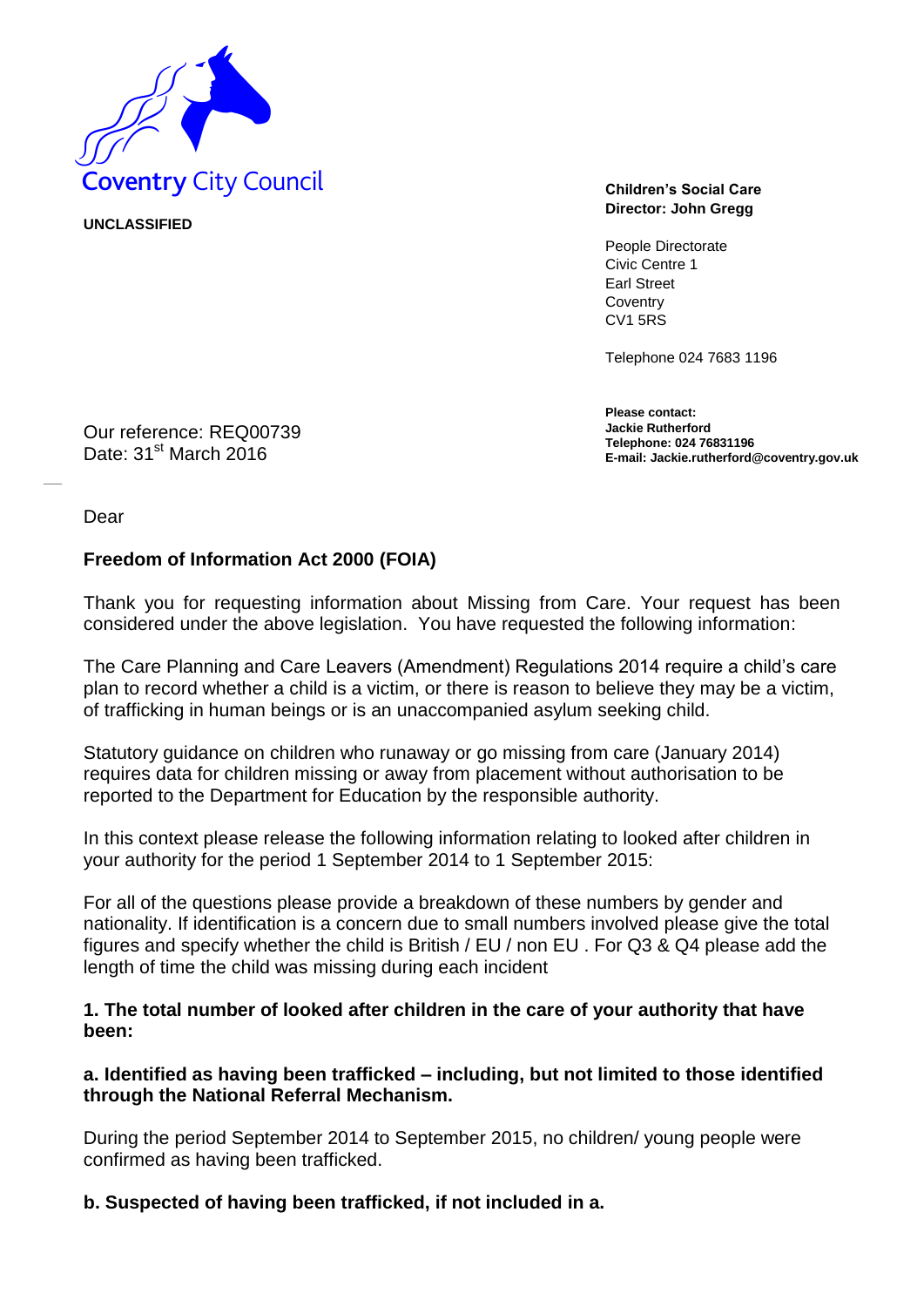

**UNCLASSIFIED** 

**Director: John Gregg**

People Directorate Civic Centre 1 Earl Street **Coventry** CV1 5RS

Telephone 024 7683 1196

**Please contact: Jackie Rutherford Telephone: 024 76831196 E-mail: Jackie.rutherford@coventry.gov.uk**

Our reference: REQ00739 Date: 31<sup>st</sup> March 2016

Dear

### **Freedom of Information Act 2000 (FOIA)**

Thank you for requesting information about Missing from Care. Your request has been considered under the above legislation. You have requested the following information:

The Care Planning and Care Leavers (Amendment) Regulations 2014 require a child's care plan to record whether a child is a victim, or there is reason to believe they may be a victim, of trafficking in human beings or is an unaccompanied asylum seeking child.

Statutory guidance on children who runaway or go missing from care (January 2014) requires data for children missing or away from placement without authorisation to be reported to the Department for Education by the responsible authority.

In this context please release the following information relating to looked after children in your authority for the period 1 September 2014 to 1 September 2015:

For all of the questions please provide a breakdown of these numbers by gender and nationality. If identification is a concern due to small numbers involved please give the total figures and specify whether the child is British / EU / non EU . For Q3 & Q4 please add the length of time the child was missing during each incident

**1. The total number of looked after children in the care of your authority that have been:** 

### **a. Identified as having been trafficked – including, but not limited to those identified through the National Referral Mechanism.**

During the period September 2014 to September 2015, no children/ young people were confirmed as having been trafficked.

#### **b. Suspected of having been trafficked, if not included in a.**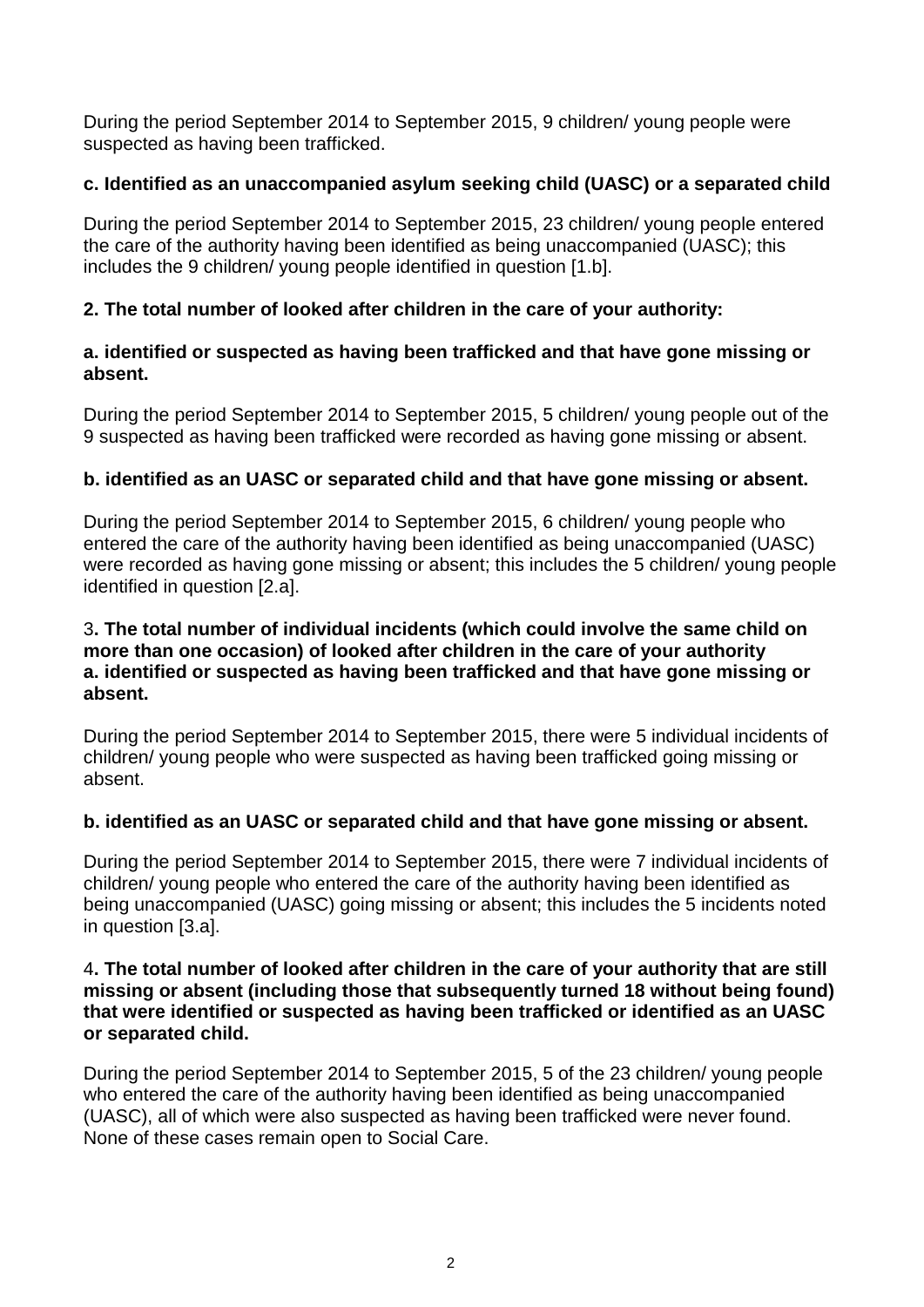During the period September 2014 to September 2015, 9 children/ young people were suspected as having been trafficked.

# **c. Identified as an unaccompanied asylum seeking child (UASC) or a separated child**

During the period September 2014 to September 2015, 23 children/ young people entered the care of the authority having been identified as being unaccompanied (UASC); this includes the 9 children/ young people identified in question [1.b].

# **2. The total number of looked after children in the care of your authority:**

## **a. identified or suspected as having been trafficked and that have gone missing or absent.**

During the period September 2014 to September 2015, 5 children/ young people out of the 9 suspected as having been trafficked were recorded as having gone missing or absent.

# **b. identified as an UASC or separated child and that have gone missing or absent.**

During the period September 2014 to September 2015, 6 children/ young people who entered the care of the authority having been identified as being unaccompanied (UASC) were recorded as having gone missing or absent; this includes the 5 children/ young people identified in question [2.a].

## 3**. The total number of individual incidents (which could involve the same child on more than one occasion) of looked after children in the care of your authority a. identified or suspected as having been trafficked and that have gone missing or absent.**

During the period September 2014 to September 2015, there were 5 individual incidents of children/ young people who were suspected as having been trafficked going missing or absent.

# **b. identified as an UASC or separated child and that have gone missing or absent.**

During the period September 2014 to September 2015, there were 7 individual incidents of children/ young people who entered the care of the authority having been identified as being unaccompanied (UASC) going missing or absent; this includes the 5 incidents noted in question [3.a].

### 4**. The total number of looked after children in the care of your authority that are still missing or absent (including those that subsequently turned 18 without being found) that were identified or suspected as having been trafficked or identified as an UASC or separated child.**

During the period September 2014 to September 2015, 5 of the 23 children/ young people who entered the care of the authority having been identified as being unaccompanied (UASC), all of which were also suspected as having been trafficked were never found. None of these cases remain open to Social Care.